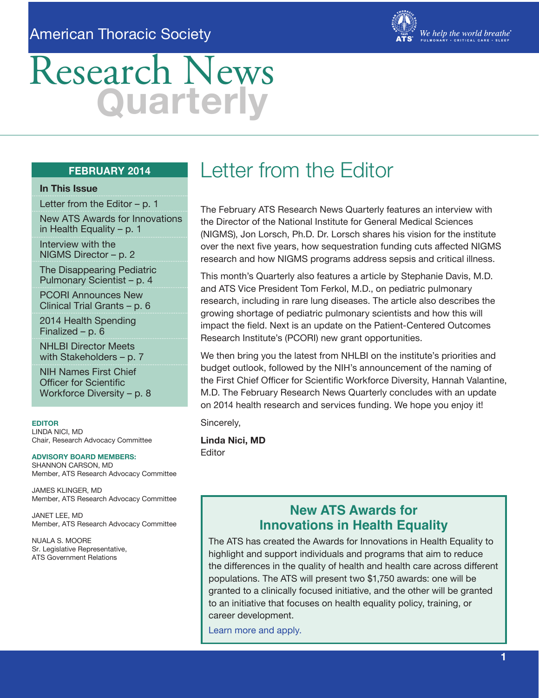### American Thoracic Society



# Research News **Q uarterly**

#### **FEBRUARY 2014**

#### **In This Issue**

Letter from the Editor – p. 1

New ATS Awards for Innovations in Health Equality – p. 1

Interview with the NIGMS Director – p. 2

The Disappearing Pediatric Pulmonary Scientist – p. 4

PCORI Announces New Clinical Trial Grants – p. 6

2014 Health Spending Finalized – p. 6

NHLBI Director Meets with Stakeholders – p. 7

NIH Names First Chief Officer for Scientific Workforce Diversity – p. 8

**EDITOR** LINDA NICI, MD Chair, Research Advocacy Committee

**ADVISORY BOARD MEMBERS:** SHANNON CARSON, MD Member, ATS Research Advocacy Committee

JAMES KLINGER, MD Member, ATS Research Advocacy Committee

JANET LEE, MD Member, ATS Research Advocacy Committee

NUALA S. MOORE Sr. Legislative Representative, ATS Government Relations

## Letter from the Editor

The February ATS Research News Quarterly features an interview with the Director of the National Institute for General Medical Sciences (NIGMS), Jon Lorsch, Ph.D. Dr. Lorsch shares his vision for the institute over the next five years, how sequestration funding cuts affected NIGMS research and how NIGMS programs address sepsis and critical illness.

This month's Quarterly also features a article by Stephanie Davis, M.D. and ATS Vice President Tom Ferkol, M.D., on pediatric pulmonary research, including in rare lung diseases. The article also describes the growing shortage of pediatric pulmonary scientists and how this will impact the field. Next is an update on the Patient-Centered Outcomes Research Institute's (PCORI) new grant opportunities.

We then bring you the latest from NHLBI on the institute's priorities and budget outlook, followed by the NIH's announcement of the naming of the First Chief Officer for Scientific Workforce Diversity, Hannah Valantine, M.D. The February Research News Quarterly concludes with an update on 2014 health research and services funding. We hope you enjoy it!

Sincerely,

**Linda Nici, MD** Editor

### **New ATS Awards for Innovations in Health Equality**

The ATS has created the Awards for Innovations in Health Equality to highlight and support individuals and programs that aim to reduce the differences in the quality of health and health care across different populations. The ATS will present two \$1,750 awards: one will be granted to a clinically focused initiative, and the other will be granted to an initiative that focuses on health equality policy, training, or career development.

[Learn more and apply.](http://www.thoracic.org/clinical/health-equality.php)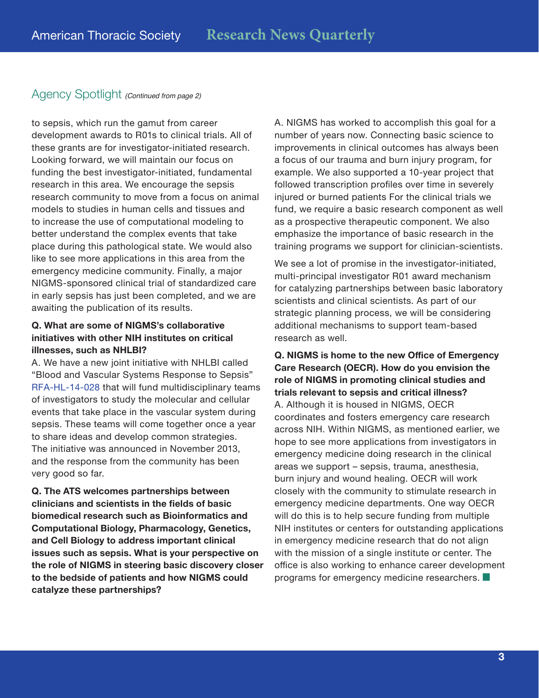### Agency Spotlight *(Continued from page 2)*

to sepsis, which run the gamut from career development awards to R01s to clinical trials. All of these grants are for investigator-initiated research. Looking forward, we will maintain our focus on funding the best investigator-initiated, fundamental research in this area. We encourage the sepsis research community to move from a focus on animal models to studies in human cells and tissues and to increase the use of computational modeling to better understand the complex events that take place during this pathological state. We would also like to see more applications in this area from the emergency medicine community. Finally, a major NIGMS-sponsored clinical trial of standardized care in early sepsis has just been completed, and we are awaiting the publication of its results.

#### **Q. What are some of NIGMS's collaborative initiatives with other NIH institutes on critical illnesses, such as NHLBI?**

A. We have a new joint initiative with NHLBI called "Blood and Vascular Systems Response to Sepsis" [RFA-HL-14-028](http://grants.nih.gov/grants/guide/rfa-files/RFA-HL-14-028.html) that will fund multidisciplinary teams of investigators to study the molecular and cellular events that take place in the vascular system during sepsis. These teams will come together once a year to share ideas and develop common strategies. The initiative was announced in November 2013, and the response from the community has been very good so far.

**Q. The ATS welcomes partnerships between clinicians and scientists in the fields of basic biomedical research such as Bioinformatics and Computational Biology, Pharmacology, Genetics, and Cell Biology to address important clinical issues such as sepsis. What is your perspective on the role of NIGMS in steering basic discovery closer to the bedside of patients and how NIGMS could catalyze these partnerships?**

A. NIGMS has worked to accomplish this goal for a number of years now. Connecting basic science to improvements in clinical outcomes has always been a focus of our trauma and burn injury program, for example. We also supported a 10-year project that followed transcription profiles over time in severely injured or burned patients For the clinical trials we fund, we require a basic research component as well as a prospective therapeutic component. We also emphasize the importance of basic research in the training programs we support for clinician-scientists.

We see a lot of promise in the investigator-initiated, multi-principal investigator R01 award mechanism for catalyzing partnerships between basic laboratory scientists and clinical scientists. As part of our strategic planning process, we will be considering additional mechanisms to support team-based research as well.

**Q. NIGMS is home to the new Office of Emergency Care Research (OECR). How do you envision the role of NIGMS in promoting clinical studies and trials relevant to sepsis and critical illness?** A. Although it is housed in NIGMS, OECR coordinates and fosters emergency care research across NIH. Within NIGMS, as mentioned earlier, we hope to see more applications from investigators in emergency medicine doing research in the clinical areas we support – sepsis, trauma, anesthesia, burn injury and wound healing. OECR will work closely with the community to stimulate research in emergency medicine departments. One way OECR will do this is to help secure funding from multiple NIH institutes or centers for outstanding applications in emergency medicine research that do not align with the mission of a single institute or center. The office is also working to enhance career development programs for emergency medicine researchers.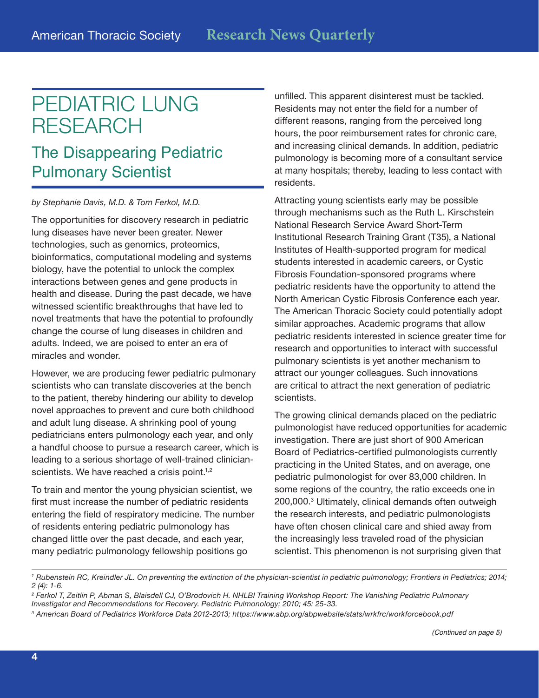## PEDIATRIC LUNG RESEARCH

### The Disappearing Pediatric Pulmonary Scientist

*by Stephanie Davis, M.D. & Tom Ferkol, M.D.*

The opportunities for discovery research in pediatric lung diseases have never been greater. Newer technologies, such as genomics, proteomics, bioinformatics, computational modeling and systems biology, have the potential to unlock the complex interactions between genes and gene products in health and disease. During the past decade, we have witnessed scientific breakthroughs that have led to novel treatments that have the potential to profoundly change the course of lung diseases in children and adults. Indeed, we are poised to enter an era of miracles and wonder.

However, we are producing fewer pediatric pulmonary scientists who can translate discoveries at the bench to the patient, thereby hindering our ability to develop novel approaches to prevent and cure both childhood and adult lung disease. A shrinking pool of young pediatricians enters pulmonology each year, and only a handful choose to pursue a research career, which is leading to a serious shortage of well-trained clinicianscientists. We have reached a crisis point.<sup>1,2</sup>

To train and mentor the young physician scientist, we first must increase the number of pediatric residents entering the field of respiratory medicine. The number of residents entering pediatric pulmonology has changed little over the past decade, and each year, many pediatric pulmonology fellowship positions go

unfilled. This apparent disinterest must be tackled. Residents may not enter the field for a number of different reasons, ranging from the perceived long hours, the poor reimbursement rates for chronic care, and increasing clinical demands. In addition, pediatric pulmonology is becoming more of a consultant service at many hospitals; thereby, leading to less contact with residents.

Attracting young scientists early may be possible through mechanisms such as the Ruth L. Kirschstein National Research Service Award Short-Term Institutional Research Training Grant (T35), a National Institutes of Health-supported program for medical students interested in academic careers, or Cystic Fibrosis Foundation-sponsored programs where pediatric residents have the opportunity to attend the North American Cystic Fibrosis Conference each year. The American Thoracic Society could potentially adopt similar approaches. Academic programs that allow pediatric residents interested in science greater time for research and opportunities to interact with successful pulmonary scientists is yet another mechanism to attract our younger colleagues. Such innovations are critical to attract the next generation of pediatric scientists.

The growing clinical demands placed on the pediatric pulmonologist have reduced opportunities for academic investigation. There are just short of 900 American Board of Pediatrics-certified pulmonologists currently practicing in the United States, and on average, one pediatric pulmonologist for over 83,000 children. In some regions of the country, the ratio exceeds one in 200,000.3 Ultimately, clinical demands often outweigh the research interests, and pediatric pulmonologists have often chosen clinical care and shied away from the increasingly less traveled road of the physician scientist. This phenomenon is not surprising given that

*<sup>1</sup> Rubenstein RC, Kreindler JL. On preventing the extinction of the physician-scientist in pediatric pulmonology; Frontiers in Pediatrics; 2014; 2 (4): 1-6.* 

*<sup>2</sup> Ferkol T, Zeitlin P, Abman S, Blaisdell CJ, O'Brodovich H. NHLBI Training Workshop Report: The Vanishing Pediatric Pulmonary Investigator and Recommendations for Recovery. Pediatric Pulmonology; 2010; 45: 25-33.*

<sup>&</sup>lt;sup>3</sup> American Board of Pediatrics Workforce Data 2012-2013; https://www.abp.org/abpwebsite/stats/wrkfrc/workforcebook.pdf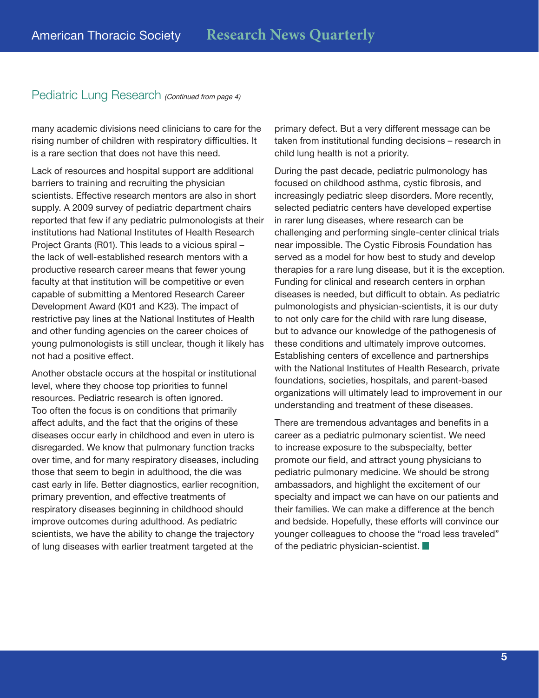#### Pediatric Lung Research *(Continued from page 4)*

many academic divisions need clinicians to care for the rising number of children with respiratory difficulties. It is a rare section that does not have this need.

Lack of resources and hospital support are additional barriers to training and recruiting the physician scientists. Effective research mentors are also in short supply. A 2009 survey of pediatric department chairs reported that few if any pediatric pulmonologists at their institutions had National Institutes of Health Research Project Grants (R01). This leads to a vicious spiral – the lack of well-established research mentors with a productive research career means that fewer young faculty at that institution will be competitive or even capable of submitting a Mentored Research Career Development Award (K01 and K23). The impact of restrictive pay lines at the National Institutes of Health and other funding agencies on the career choices of young pulmonologists is still unclear, though it likely has not had a positive effect.

Another obstacle occurs at the hospital or institutional level, where they choose top priorities to funnel resources. Pediatric research is often ignored. Too often the focus is on conditions that primarily affect adults, and the fact that the origins of these diseases occur early in childhood and even in utero is disregarded. We know that pulmonary function tracks over time, and for many respiratory diseases, including those that seem to begin in adulthood, the die was cast early in life. Better diagnostics, earlier recognition, primary prevention, and effective treatments of respiratory diseases beginning in childhood should improve outcomes during adulthood. As pediatric scientists, we have the ability to change the trajectory of lung diseases with earlier treatment targeted at the

primary defect. But a very different message can be taken from institutional funding decisions – research in child lung health is not a priority.

During the past decade, pediatric pulmonology has focused on childhood asthma, cystic fibrosis, and increasingly pediatric sleep disorders. More recently, selected pediatric centers have developed expertise in rarer lung diseases, where research can be challenging and performing single-center clinical trials near impossible. The Cystic Fibrosis Foundation has served as a model for how best to study and develop therapies for a rare lung disease, but it is the exception. Funding for clinical and research centers in orphan diseases is needed, but difficult to obtain. As pediatric pulmonologists and physician-scientists, it is our duty to not only care for the child with rare lung disease, but to advance our knowledge of the pathogenesis of these conditions and ultimately improve outcomes. Establishing centers of excellence and partnerships with the National Institutes of Health Research, private foundations, societies, hospitals, and parent-based organizations will ultimately lead to improvement in our understanding and treatment of these diseases.

There are tremendous advantages and benefits in a career as a pediatric pulmonary scientist. We need to increase exposure to the subspecialty, better promote our field, and attract young physicians to pediatric pulmonary medicine. We should be strong ambassadors, and highlight the excitement of our specialty and impact we can have on our patients and their families. We can make a difference at the bench and bedside. Hopefully, these efforts will convince our younger colleagues to choose the "road less traveled" of the pediatric physician-scientist.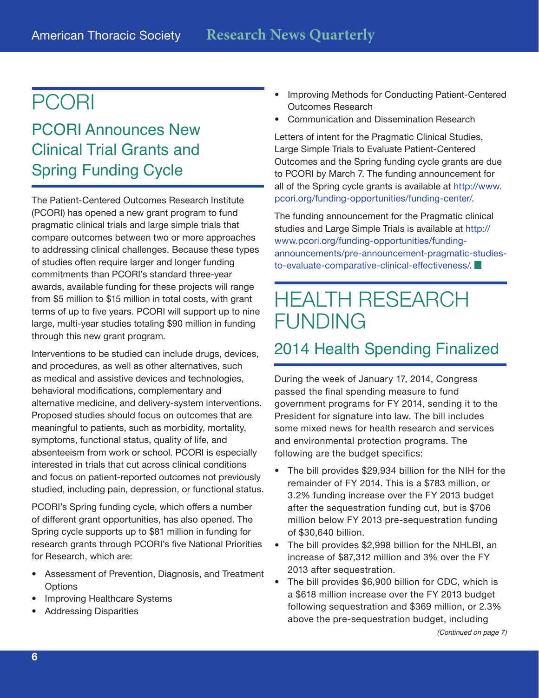## PCORI

## PCORI Announces New Clinical Trial Grants and Spring Funding Cycle

The Patient-Centered Outcomes Research Institute (PCORI) has opened a new grant program to fund pragmatic clinical trials and large simple trials that compare outcomes between two or more approaches to addressing clinical challenges. Because these types of studies often require larger and longer funding commitments than PCORI's standard three-year awards, available funding for these projects will range from \$5 million to \$15 million in total costs, with grant terms of up to five years. PCORI will support up to nine large, multi-year studies totaling \$90 million in funding through this new grant program.

Interventions to be studied can include drugs, devices, and procedures, as well as other alternatives, such as medical and assistive devices and technologies, behavioral modifications, complementary and alternative medicine, and delivery-system interventions. Proposed studies should focus on outcomes that are meaningful to patients, such as morbidity, mortality, symptoms, functional status, quality of life, and absenteeism from work or school. PCORI is especially interested in trials that cut across clinical conditions and focus on patient-reported outcomes not previously studied, including pain, depression, or functional status.

PCORI's Spring funding cycle, which offers a number of different grant opportunities, has also opened. The Spring cycle supports up to \$81 million in funding for research grants through PCORI's five National Priorities for Research, which are:

- Assessment of Prevention, Diagnosis, and Treatment **Options**
- Improving Healthcare Systems
- Addressing Disparities
- Improving Methods for Conducting Patient-Centered Outcomes Research
- Communication and Dissemination Research

Letters of intent for the Pragmatic Clinical Studies, Large Simple Trials to Evaluate Patient-Centered Outcomes and the Spring funding cycle grants are due to PCORI by March 7. The funding announcement for all of the Spring cycle grants is available at [http://www.](http://www.pcori.org/funding-opportunities/funding-center/) [pcori.org/funding-opportunities/funding-center/](http://www.pcori.org/funding-opportunities/funding-center/).

The funding announcement for the Pragmatic clinical studies and Large Simple Trials is available at http:// www.pcori.org/funding-opportunities/fundingannouncements/pre-announcement-pragmatic-studiesto-evaluate-comparative-clinical-effectiveness/.

## HEALTH RESEARCH FUNDING

### 2014 Health Spending Finalized

During the week of January 17, 2014, Congress passed the final spending measure to fund government programs for FY 2014, sending it to the President for signature into law. The bill includes some mixed news for health research and services and environmental protection programs. The following are the budget specifics:

- The bill provides \$29,934 billion for the NIH for the remainder of FY 2014. This is a \$783 million, or 3.2% funding increase over the FY 2013 budget after the sequestration funding cut, but is \$706 million below FY 2013 pre-sequestration funding of \$30,640 billion.
- The bill provides \$2,998 billion for the NHLBI, an increase of \$87,312 million and 3% over the FY 2013 after sequestration.
- The bill provides \$6,900 billion for CDC, which is a \$618 million increase over the FY 2013 budget following sequestration and \$369 million, or 2.3% above the pre-sequestration budget, including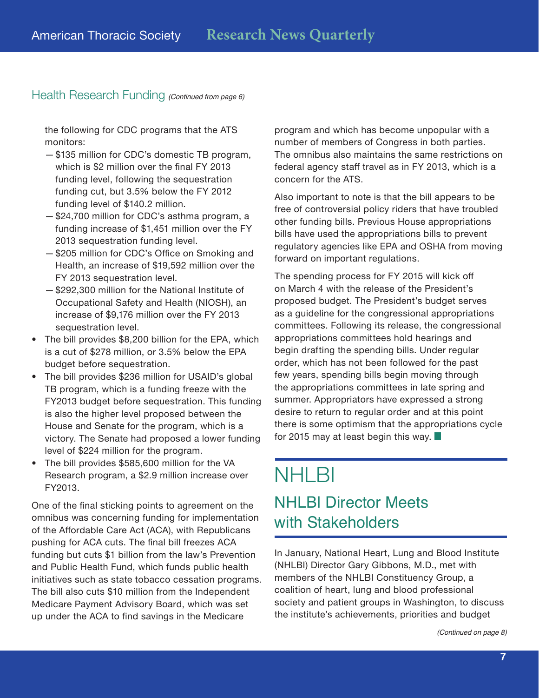### Health Research Funding *(Continued from page 6)*

the following for CDC programs that the ATS monitors:

- —\$135 million for CDC's domestic TB program, which is \$2 million over the final FY 2013 funding level, following the sequestration funding cut, but 3.5% below the FY 2012 funding level of \$140.2 million.
- —\$24,700 million for CDC's asthma program, a funding increase of \$1,451 million over the FY 2013 sequestration funding level.
- —\$205 million for CDC's Office on Smoking and Health, an increase of \$19,592 million over the FY 2013 sequestration level.
- —\$292,300 million for the National Institute of Occupational Safety and Health (NIOSH), an increase of \$9,176 million over the FY 2013 sequestration level.
- The bill provides \$8,200 billion for the EPA, which is a cut of \$278 million, or 3.5% below the EPA budget before sequestration.
- The bill provides \$236 million for USAID's global TB program, which is a funding freeze with the FY2013 budget before sequestration. This funding is also the higher level proposed between the House and Senate for the program, which is a victory. The Senate had proposed a lower funding level of \$224 million for the program.
- The bill provides \$585,600 million for the VA Research program, a \$2.9 million increase over FY2013.

One of the final sticking points to agreement on the omnibus was concerning funding for implementation of the Affordable Care Act (ACA), with Republicans pushing for ACA cuts. The final bill freezes ACA funding but cuts \$1 billion from the law's Prevention and Public Health Fund, which funds public health initiatives such as state tobacco cessation programs. The bill also cuts \$10 million from the Independent Medicare Payment Advisory Board, which was set up under the ACA to find savings in the Medicare

program and which has become unpopular with a number of members of Congress in both parties. The omnibus also maintains the same restrictions on federal agency staff travel as in FY 2013, which is a concern for the ATS.

Also important to note is that the bill appears to be free of controversial policy riders that have troubled other funding bills. Previous House appropriations bills have used the appropriations bills to prevent regulatory agencies like EPA and OSHA from moving forward on important regulations.

The spending process for FY 2015 will kick off on March 4 with the release of the President's proposed budget. The President's budget serves as a guideline for the congressional appropriations committees. Following its release, the congressional appropriations committees hold hearings and begin drafting the spending bills. Under regular order, which has not been followed for the past few years, spending bills begin moving through the appropriations committees in late spring and summer. Appropriators have expressed a strong desire to return to regular order and at this point there is some optimism that the appropriations cycle for 2015 may at least begin this way.  $\blacksquare$ 

## **NHLBI** NHLBI Director Meets with Stakeholders

In January, National Heart, Lung and Blood Institute (NHLBI) Director Gary Gibbons, M.D., met with members of the NHLBI Constituency Group, a coalition of heart, lung and blood professional society and patient groups in Washington, to discuss the institute's achievements, priorities and budget